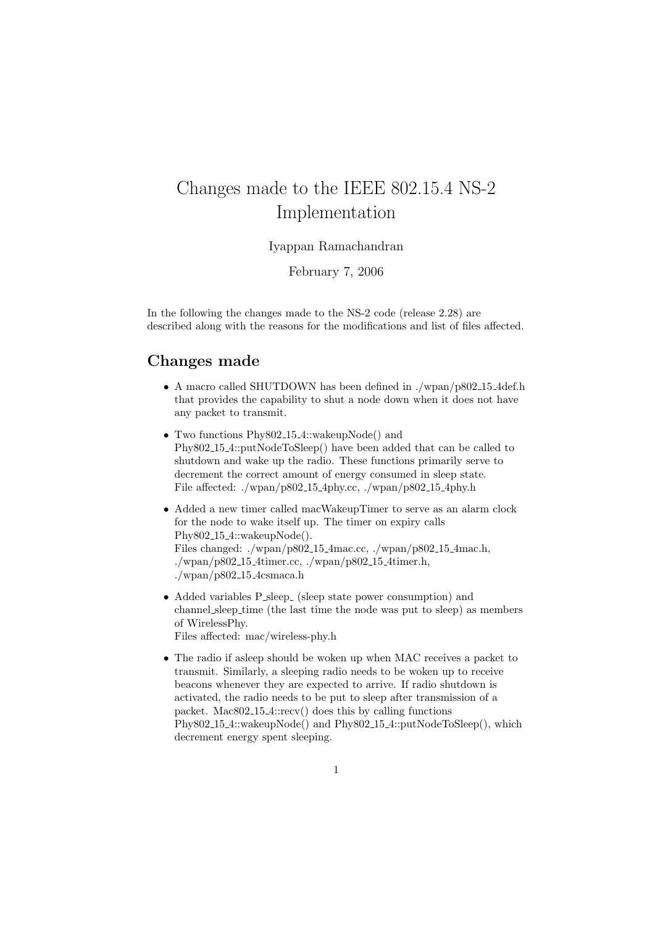## Changes made to the IEEE 802.15.4 NS-2 Implementation

## Iyappan Ramachandran

February 7, 2006

In the following the changes made to the NS-2 code (release 2.28) are described along with the reasons for the modifications and list of files affected.

## Changes made

- A macro called SHUTDOWN has been defined in ./wpan/p802\_15\_4def.h that provides the capability to shut a node down when it does not have any packet to transmit.
- Two functions Phy802<sub>-15-4</sub>::wakeupNode() and Phy802 15 4::putNodeToSleep() have been added that can be called to shutdown and wake up the radio. These functions primarily serve to decrement the correct amount of energy consumed in sleep state. File affected: ./wpan/p802 15 4phy.cc, ./wpan/p802 15 4phy.h
- Added a new timer called macWakeupTimer to serve as an alarm clock for the node to wake itself up. The timer on expiry calls Phy802 15 4::wakeupNode(). Files changed: ./wpan/p802 15 4mac.cc, ./wpan/p802 15 4mac.h,  $./wpan/p802_15_4timer.cc,./wpan/p802_15_4timer.h,$  $./wpan/p802_115_4csmaca.h$
- Added variables P\_sleep\_ (sleep state power consumption) and channel sleep time (the last time the node was put to sleep) as members of WirelessPhy.

Files affected: mac/wireless-phy.h

• The radio if asleep should be woken up when MAC receives a packet to transmit. Similarly, a sleeping radio needs to be woken up to receive beacons whenever they are expected to arrive. If radio shutdown is activated, the radio needs to be put to sleep after transmission of a packet. Mac802 15 4::recv() does this by calling functions Phy802 15 4::wakeupNode() and Phy802 15 4::putNodeToSleep(), which decrement energy spent sleeping.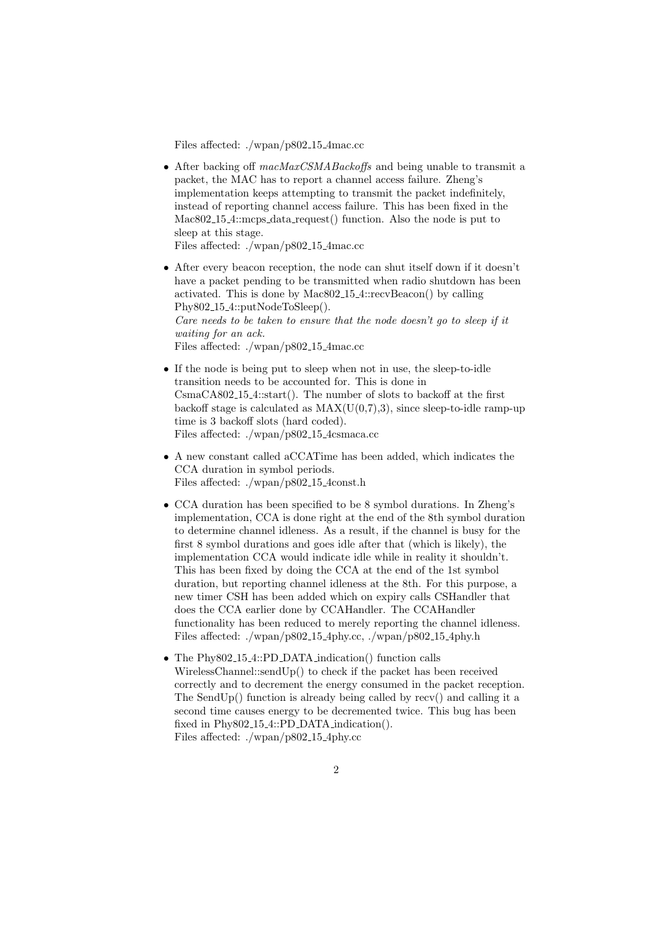Files affected: ./wpan/p802 15 4mac.cc

• After backing off macMaxCSMABackoffs and being unable to transmit a packet, the MAC has to report a channel access failure. Zheng's implementation keeps attempting to transmit the packet indefinitely, instead of reporting channel access failure. This has been fixed in the Mac802<sub>-15-4</sub>::mcps<sub>-data-request</sub>() function. Also the node is put to sleep at this stage.

Files affected: ./wpan/p802 15 4mac.cc

- After every beacon reception, the node can shut itself down if it doesn't have a packet pending to be transmitted when radio shutdown has been activated. This is done by Mac802 15 4::recvBeacon() by calling Phy802<sub>-15-4</sub>::putNodeToSleep(). Care needs to be taken to ensure that the node doesn't go to sleep if it waiting for an ack. Files affected: ./wpan/p802 15 4mac.cc
- If the node is being put to sleep when not in use, the sleep-to-idle transition needs to be accounted for. This is done in CsmaCA802 15 4::start(). The number of slots to backoff at the first backoff stage is calculated as  $MAX(U(0,7),3)$ , since sleep-to-idle ramp-up time is 3 backoff slots (hard coded). Files affected: ./wpan/p802<sub>-15-4</sub>csmaca.cc
- A new constant called aCCATime has been added, which indicates the CCA duration in symbol periods. Files affected: ./wpan/p802 15 4const.h
- CCA duration has been specified to be 8 symbol durations. In Zheng's implementation, CCA is done right at the end of the 8th symbol duration to determine channel idleness. As a result, if the channel is busy for the first 8 symbol durations and goes idle after that (which is likely), the implementation CCA would indicate idle while in reality it shouldn't. This has been fixed by doing the CCA at the end of the 1st symbol duration, but reporting channel idleness at the 8th. For this purpose, a new timer CSH has been added which on expiry calls CSHandler that does the CCA earlier done by CCAHandler. The CCAHandler functionality has been reduced to merely reporting the channel idleness. Files affected: ./wpan/p802 15 4phy.cc, ./wpan/p802 15 4phy.h
- The Phy802<sub>15</sub>4::PD\_DATA\_indication() function calls WirelessChannel::sendUp() to check if the packet has been received correctly and to decrement the energy consumed in the packet reception. The SendUp() function is already being called by recv() and calling it a second time causes energy to be decremented twice. This bug has been fixed in Phy802<sub>-15-4</sub>::PD\_DATA\_indication(). Files affected: ./wpan/p802 15 4phy.cc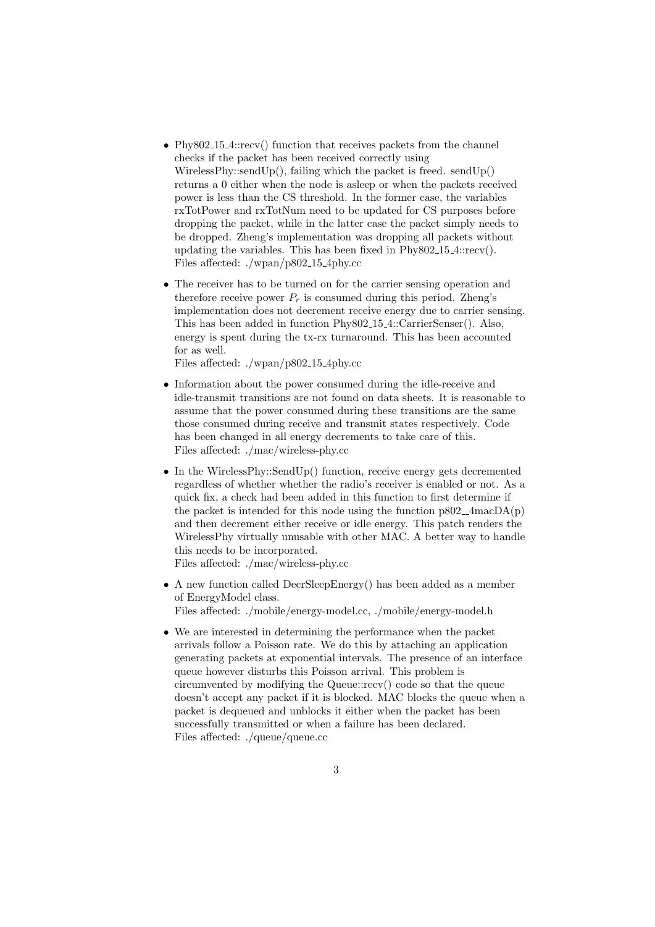- Phy802<sub>-15-4</sub>::recv() function that receives packets from the channel checks if the packet has been received correctly using WirelessPhy::sendUp $()$ , failing which the packet is freed. sendUp $()$ returns a 0 either when the node is asleep or when the packets received power is less than the CS threshold. In the former case, the variables rxTotPower and rxTotNum need to be updated for CS purposes before dropping the packet, while in the latter case the packet simply needs to be dropped. Zheng's implementation was dropping all packets without updating the variables. This has been fixed in Phy802 15 4::recv(). Files affected: ./wpan/p802 15 4phy.cc
- The receiver has to be turned on for the carrier sensing operation and therefore receive power  $P_r$  is consumed during this period. Zheng's implementation does not decrement receive energy due to carrier sensing. This has been added in function Phy802 15 4::CarrierSenser(). Also, energy is spent during the tx-rx turnaround. This has been accounted for as well.

Files affected: ./wpan/p802 15 4phy.cc

- Information about the power consumed during the idle-receive and idle-transmit transitions are not found on data sheets. It is reasonable to assume that the power consumed during these transitions are the same those consumed during receive and transmit states respectively. Code has been changed in all energy decrements to take care of this. Files affected: ./mac/wireless-phy.cc
- In the WirelessPhy::SendUp() function, receive energy gets decremented regardless of whether whether the radio's receiver is enabled or not. As a quick fix, a check had been added in this function to first determine if the packet is intended for this node using the function  $p802_4$  macDA(p) and then decrement either receive or idle energy. This patch renders the WirelessPhy virtually unusable with other MAC. A better way to handle this needs to be incorporated.

Files affected: ./mac/wireless-phy.cc

- A new function called DecrSleepEnergy() has been added as a member of EnergyModel class. Files affected: ./mobile/energy-model.cc, ./mobile/energy-model.h
- We are interested in determining the performance when the packet arrivals follow a Poisson rate. We do this by attaching an application generating packets at exponential intervals. The presence of an interface queue however disturbs this Poisson arrival. This problem is circumvented by modifying the Queue::recv() code so that the queue doesn't accept any packet if it is blocked. MAC blocks the queue when a packet is dequeued and unblocks it either when the packet has been successfully transmitted or when a failure has been declared. Files affected: ./queue/queue.cc